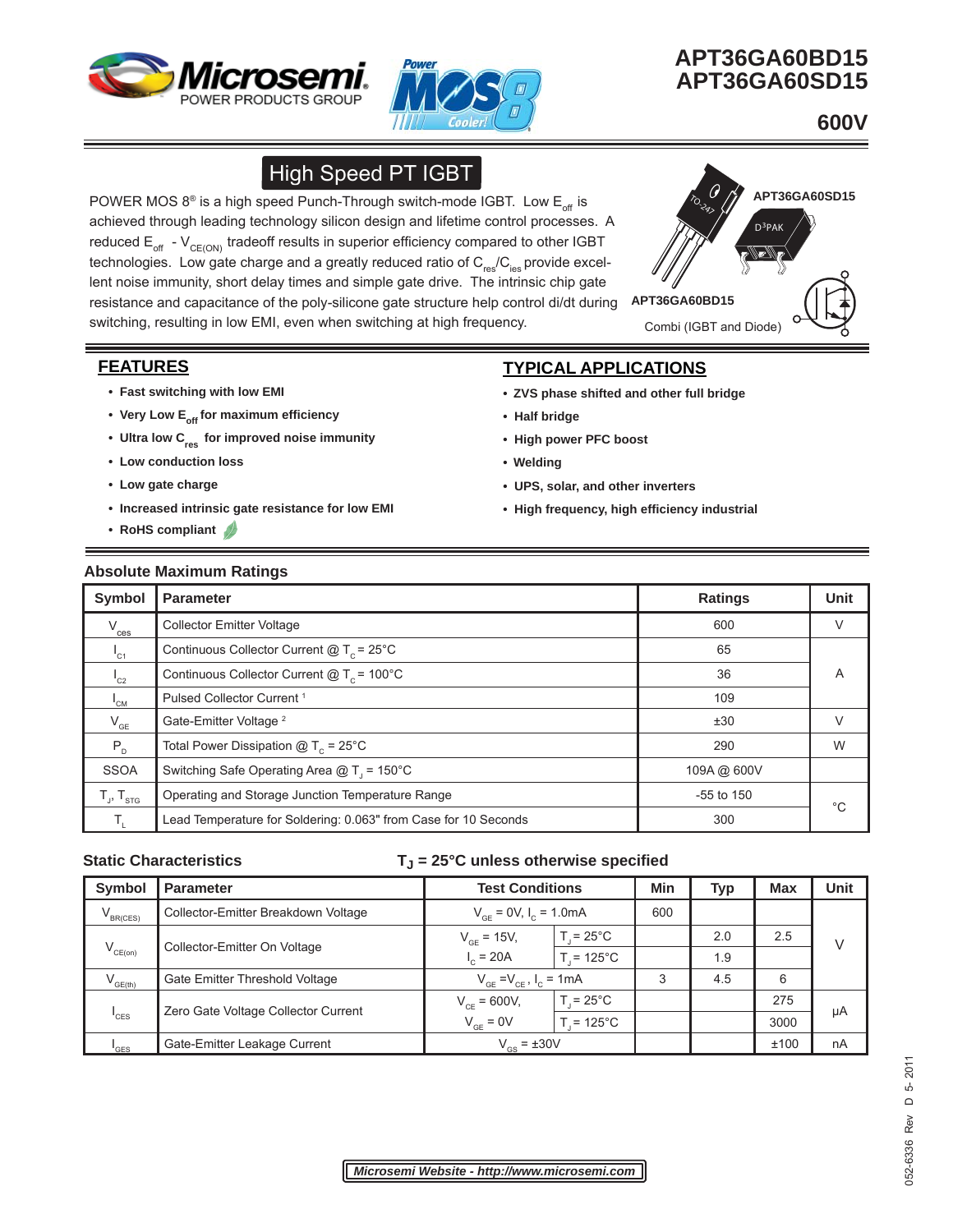



## **APT36GA60BD15 APT36GA60SD15**

 **600V** 

# **High Speed PT IGBT**

POWER MOS  $8^{\circ}$  is a high speed Punch-Through switch-mode IGBT. Low E<sub>off</sub> is achieved through leading technology silicon design and lifetime control processes. A reduced  $E_{off}$  - V<sub>CE(ON)</sub> tradeoff results in superior efficiency compared to other IGBT technologies. Low gate charge and a greatly reduced ratio of  $C_{res}/C_{ies}$  provide excellent noise immunity, short delay times and simple gate drive. The intrinsic chip gate resistance and capacitance of the poly-silicone gate structure help control di/dt during switching, resulting in low EMI, even when switching at high frequency.



## **FEATURES**

- **Fast switching with low EMI**
- Very Low E<sub>off</sub> for maximum efficiency
- Ultra low C<sub>res</sub> for improved noise immunity
- **Low conduction loss**
- **Low gate charge**
- **Increased intrinsic gate resistance for low EMI**
- **RoHS compliant**

## **TYPICAL APPLICATIONS**

- **ZVS phase shifted and other full bridge**
- **Half bridge**
- **High power PFC boost**
- **Welding**
- **UPS, solar, and other inverters**
- **High frequency, high effi ciency industrial**

#### **Absolute Maximum Ratings**

| <b>Symbol</b>         | <b>Parameter</b>                                                | <b>Ratings</b> | <b>Unit</b> |
|-----------------------|-----------------------------------------------------------------|----------------|-------------|
| $V_{\underline{ces}}$ | <b>Collector Emitter Voltage</b>                                | 600            | V           |
| $I_{C1}$              | Continuous Collector Current $@T_c = 25°C$                      | 65             |             |
| $I_{C2}$              | Continuous Collector Current $@T_c = 100°C$                     | 36             | A           |
| $I_{CM}$              | Pulsed Collector Current <sup>1</sup>                           | 109            |             |
| $V_{GE}$              | Gate-Emitter Voltage <sup>2</sup>                               | ±30            | V           |
| $P_{D}$               | Total Power Dissipation $@T_c = 25°C$                           | 290            | W           |
| <b>SSOA</b>           | Switching Safe Operating Area $@T_1 = 150^{\circ}C$             | 109A@ 600V     |             |
| $T_{J}$ , $T_{STG}$   | Operating and Storage Junction Temperature Range                | $-55$ to 150   | $^{\circ}C$ |
|                       | Lead Temperature for Soldering: 0.063" from Case for 10 Seconds | 300            |             |

#### Static Characteristics **T**<sub>J</sub> = 25°C unless otherwise specified

| <b>Symbol</b>    | <b>Parameter</b>                    | <b>Test Conditions</b>           |                    | Min | Typ | <b>Max</b> | Unit |
|------------------|-------------------------------------|----------------------------------|--------------------|-----|-----|------------|------|
| $V_{BR(CES)}$    | Collector-Emitter Breakdown Voltage | $V_{GE}$ = 0V, $I_c$ = 1.0mA     |                    | 600 |     |            |      |
|                  | Collector-Emitter On Voltage        | $V_{GF}$ = 15V,                  | $T = 25^{\circ}$ C |     | 2.0 | 2.5        |      |
| $V_{CE(on)}$     |                                     | $I_c = 20A$                      | $T = 125^{\circ}C$ |     | 1.9 |            |      |
| $V_{GE(th)}$     | Gate Emitter Threshold Voltage      | $V_{GF} = V_{CF}$ , $I_C = 1$ mA |                    | 3   | 4.5 | 6          |      |
|                  |                                     | $V_{CF} = 600V,$                 | $T = 25^{\circ}$ C |     |     | 275        |      |
| <sup>'</sup> CES | Zero Gate Voltage Collector Current | $V_{GE} = 0V$                    | $= 125^{\circ}$ C  |     |     | 3000       | μA   |
| <sup>'</sup> GES | Gate-Emitter Leakage Current        | $V_{\text{GS}}$ = $\pm 30V$      |                    |     |     | ±100       | nA   |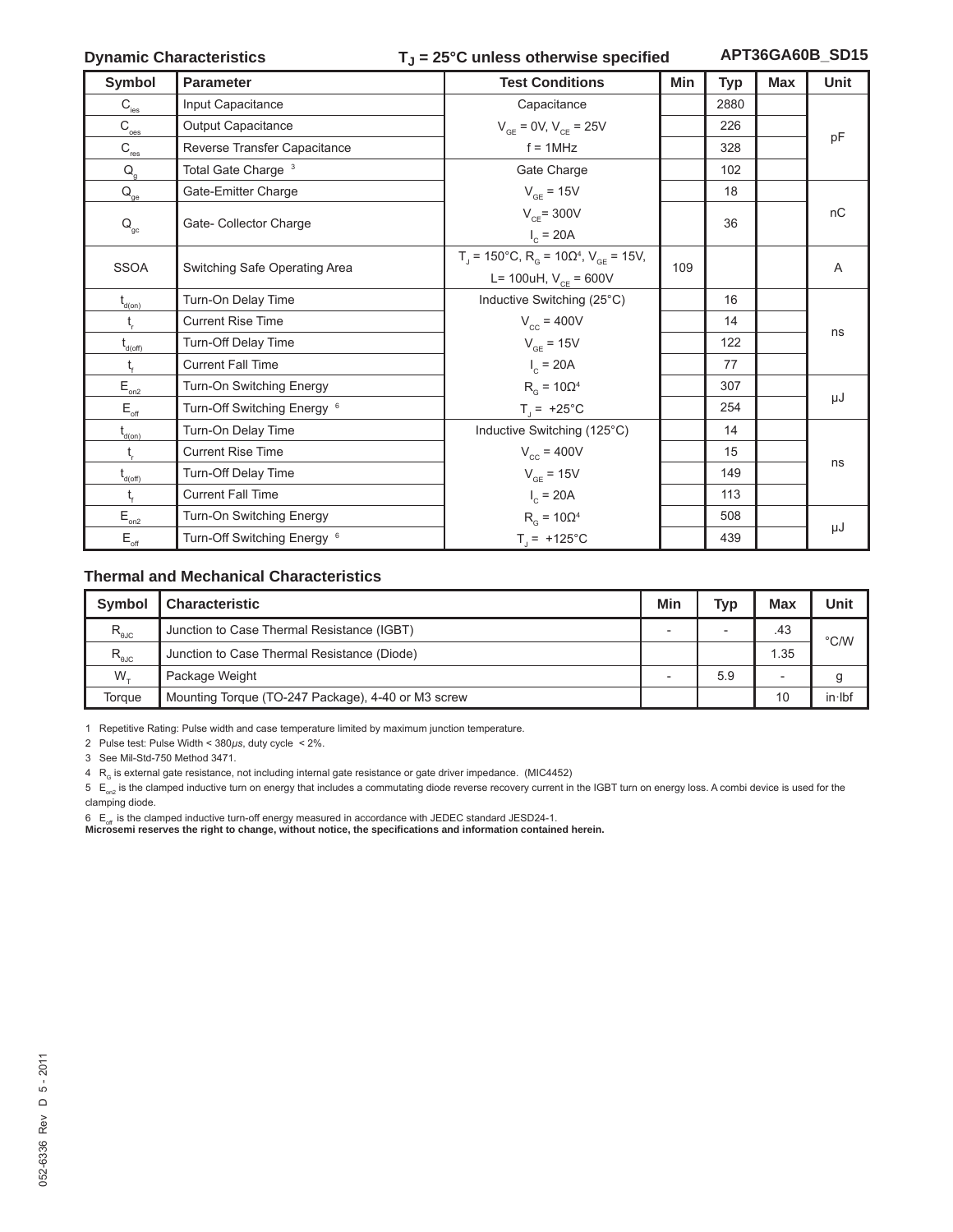### Dynamic Characteristics **T**<sub>J</sub> = 25°C unless otherwise specified **APT36GA60B\_SD15**

| Symbol                                                       | <b>Parameter</b>                       | <b>Test Conditions</b>                                                                                          | Min | Typ  | <b>Max</b> | <b>Unit</b> |
|--------------------------------------------------------------|----------------------------------------|-----------------------------------------------------------------------------------------------------------------|-----|------|------------|-------------|
| $\mathsf{C}_{\textsf{\tiny \textsf{ies}}}$                   | Input Capacitance                      | Capacitance                                                                                                     |     | 2880 |            |             |
| $\mathsf{C}_{\textup{oes}}$                                  | Output Capacitance                     | $V_{GF} = 0V, V_{CF} = 25V$                                                                                     |     | 226  |            |             |
| $C_{\underline{\text{res}}}$                                 | Reverse Transfer Capacitance           | $f = 1$ MHz                                                                                                     |     | 328  |            | pF          |
| $\mathsf{Q}_{\mathsf{g}}$                                    | Total Gate Charge <sup>3</sup>         | Gate Charge                                                                                                     |     | 102  |            |             |
| $\mathsf{Q}_\mathsf{ge}$                                     | Gate-Emitter Charge                    | $V_{GE}$ = 15V                                                                                                  |     | 18   |            |             |
| $\mathsf{Q}_\mathrm{gc}$                                     | Gate- Collector Charge                 | $V_{CF}$ = 300V<br>$I_c = 20A$                                                                                  |     | 36   |            | nC          |
| <b>SSOA</b>                                                  | Switching Safe Operating Area          | $T_{\text{d}}$ = 150°C, R <sub>G</sub> = 10Ω <sup>4</sup> , V <sub>GE</sub> = 15V,<br>L= 100uH, $V_{CF}$ = 600V | 109 |      |            | A           |
| $t_{\text{d}(on)}$                                           | Turn-On Delay Time                     | Inductive Switching (25°C)                                                                                      |     | 16   |            |             |
| t,                                                           | <b>Current Rise Time</b>               | $V_{cc}$ = 400V                                                                                                 |     | 14   |            |             |
| $t_{d(off)}$                                                 | Turn-Off Delay Time                    | $V_{GE}$ = 15V                                                                                                  |     | 122  |            | ns          |
| t,                                                           | <b>Current Fall Time</b>               | $I_c = 20A$                                                                                                     |     | 77   |            |             |
| $\mathsf{E}_{_{\mathsf{on2}}}$                               | Turn-On Switching Energy               | $R_{\alpha}$ = 10 $\Omega^4$                                                                                    |     | 307  |            |             |
| $\mathsf{E}_{\mathsf{off}}$                                  | Turn-Off Switching Energy <sup>6</sup> | $T_{\parallel}$ = +25°C                                                                                         |     | 254  |            | μJ          |
| $\mathfrak{t}_{\scriptscriptstyle{\mathsf{d}(\mathsf{on})}}$ | Turn-On Delay Time                     | Inductive Switching (125°C)                                                                                     |     | 14   |            |             |
| $t_{\rm r}$                                                  | <b>Current Rise Time</b>               | $V_{cc}$ = 400V                                                                                                 |     | 15   |            |             |
| $\mathfrak{t}_{\scriptscriptstyle \sf d(off)}$               | Turn-Off Delay Time                    | $V_{GE}$ = 15V                                                                                                  |     | 149  |            | ns          |
| t,                                                           | <b>Current Fall Time</b>               | $I_c = 20A$                                                                                                     |     | 113  |            |             |
| $\mathsf{E}_{\scriptscriptstyle{\mathsf{on2}}}$              | Turn-On Switching Energy               | $R_{\alpha}$ = 10 $\Omega^4$                                                                                    |     | 508  |            |             |
| $\mathsf{E}_{\mathsf{off}}$                                  | Turn-Off Switching Energy <sup>6</sup> | $T_{j}$ = +125°C                                                                                                |     | 439  |            | μJ          |

#### **Thermal and Mechanical Characteristics**

| <b>Symbol</b>                   | <b>Characteristic</b>                              | Min | Typ                      | <b>Max</b> | Unit          |
|---------------------------------|----------------------------------------------------|-----|--------------------------|------------|---------------|
| $R_{\text{\tiny \textsf{bJC}}}$ | Junction to Case Thermal Resistance (IGBT)         |     | $\overline{\phantom{a}}$ | .43        | $\degree$ C/W |
| $R_{\text{euc}}$                | Junction to Case Thermal Resistance (Diode)        |     |                          | 1.35       |               |
| $W_{+}$                         | Package Weight                                     |     | 5.9                      | -          | g             |
| Torque                          | Mounting Torque (TO-247 Package), 4-40 or M3 screw |     |                          | 10         | $in$ lbf      |

1 Repetitive Rating: Pulse width and case temperature limited by maximum junction temperature.

2 Pulse test: Pulse Width < 380*μs*, duty cycle < 2%.

3 See Mil-Std-750 Method 3471.

 $4 \ R<sub>G</sub>$  is external gate resistance, not including internal gate resistance or gate driver impedance. (MIC4452)

 $5 E_{on2}$  is the clamped inductive turn on energy that includes a commutating diode reverse recovery current in the IGBT turn on energy loss. A combi device is used for the clamping diode.

6  $E_{\text{off}}$  is the clamped inductive turn-off energy measured in accordance with JEDEC standard JESD24-1.

**Microsemi reserves the right to change, without notice, the specifi cations and information contained herein.**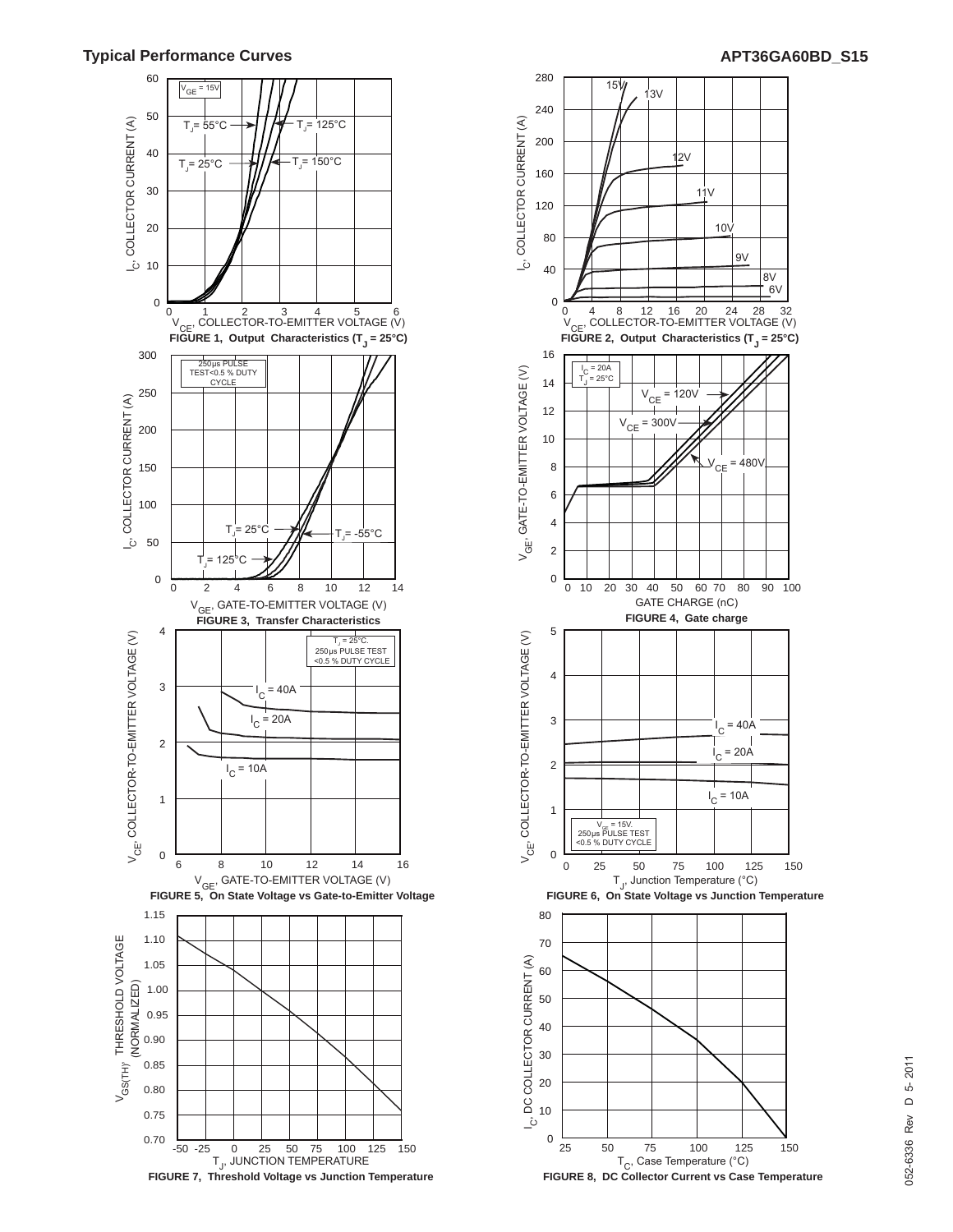

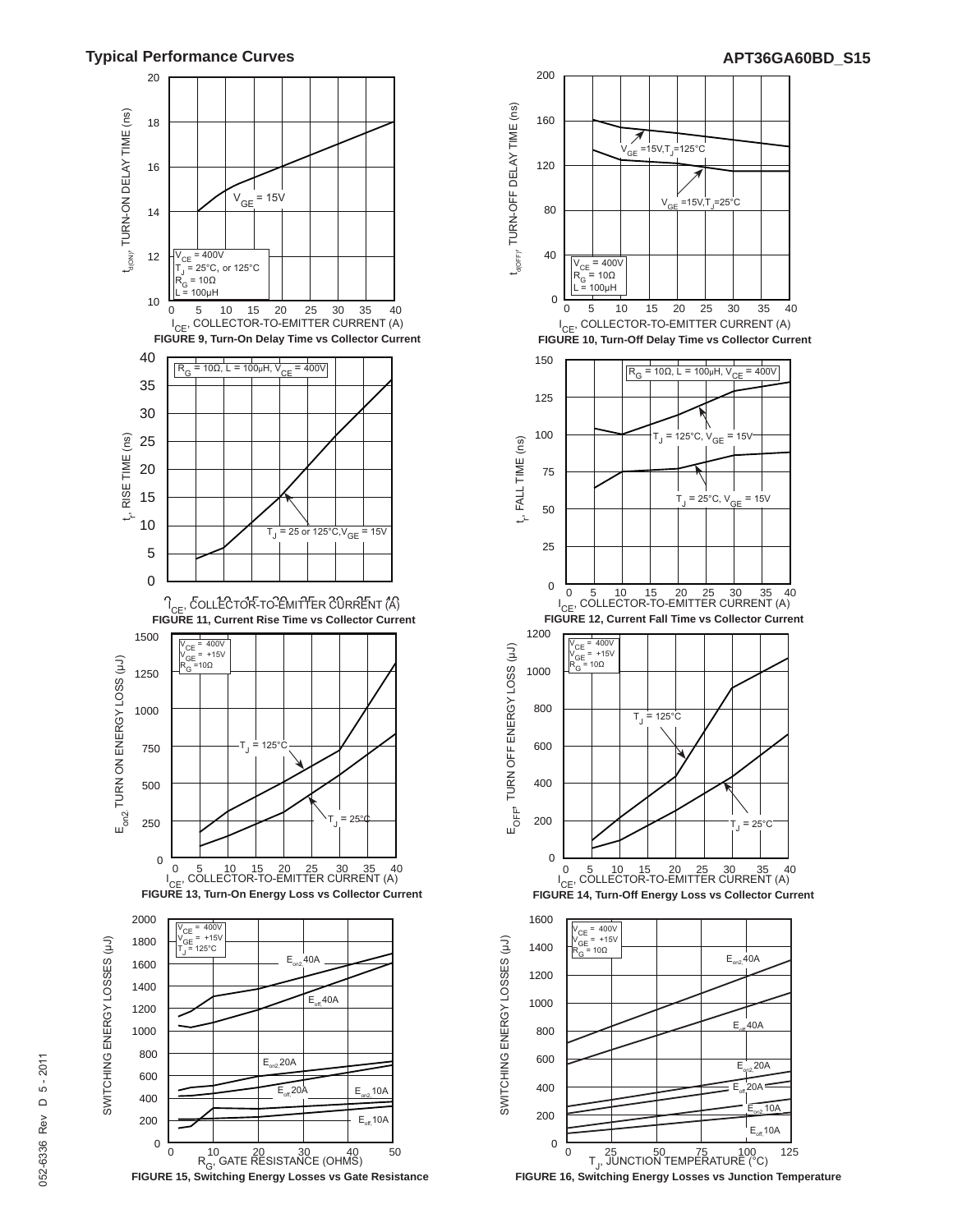

**FIGURE 15, Switching Energy Losses vs Gate Resistance**



**FIGURE 16, Switching Energy Losses vs Junction Temperature**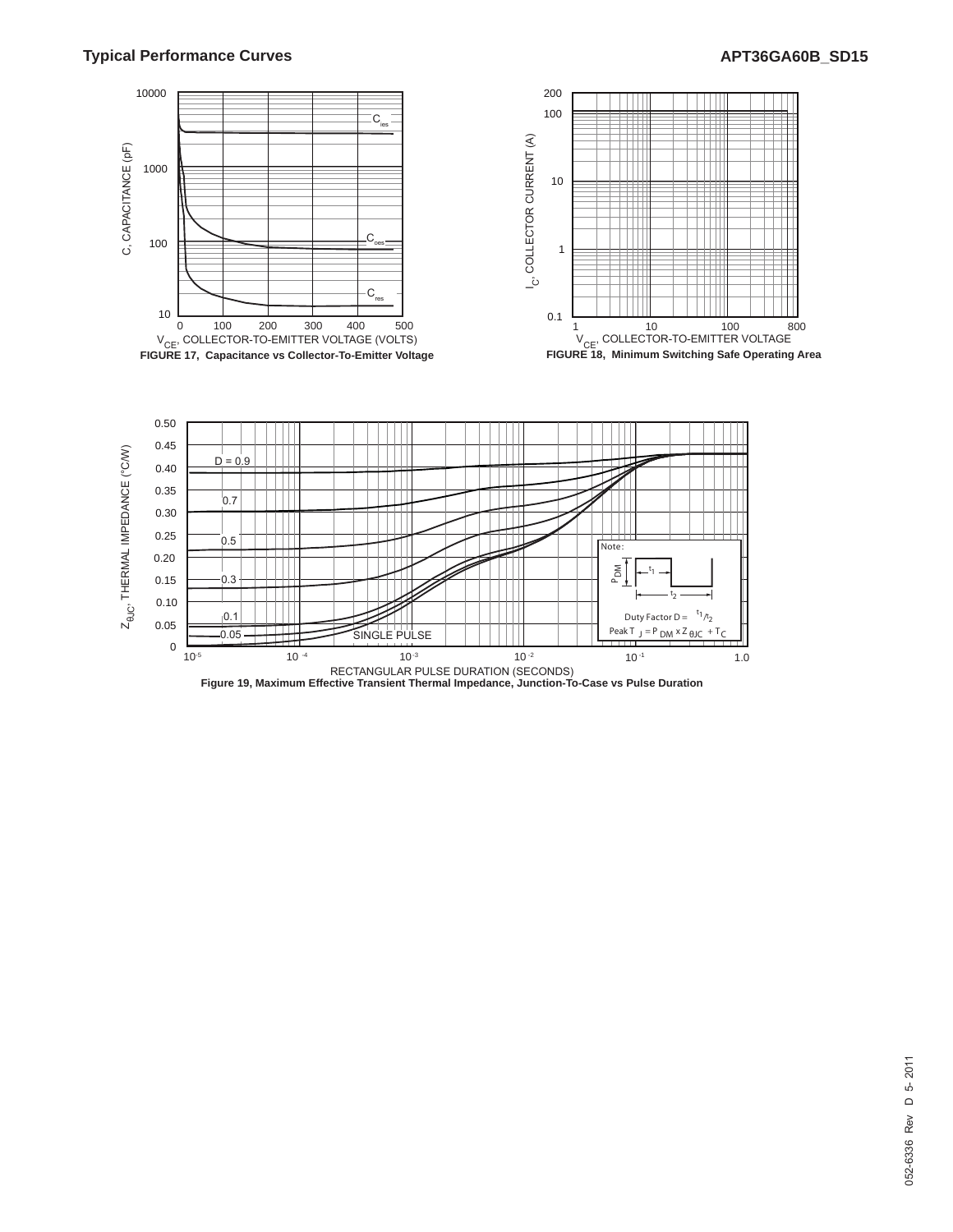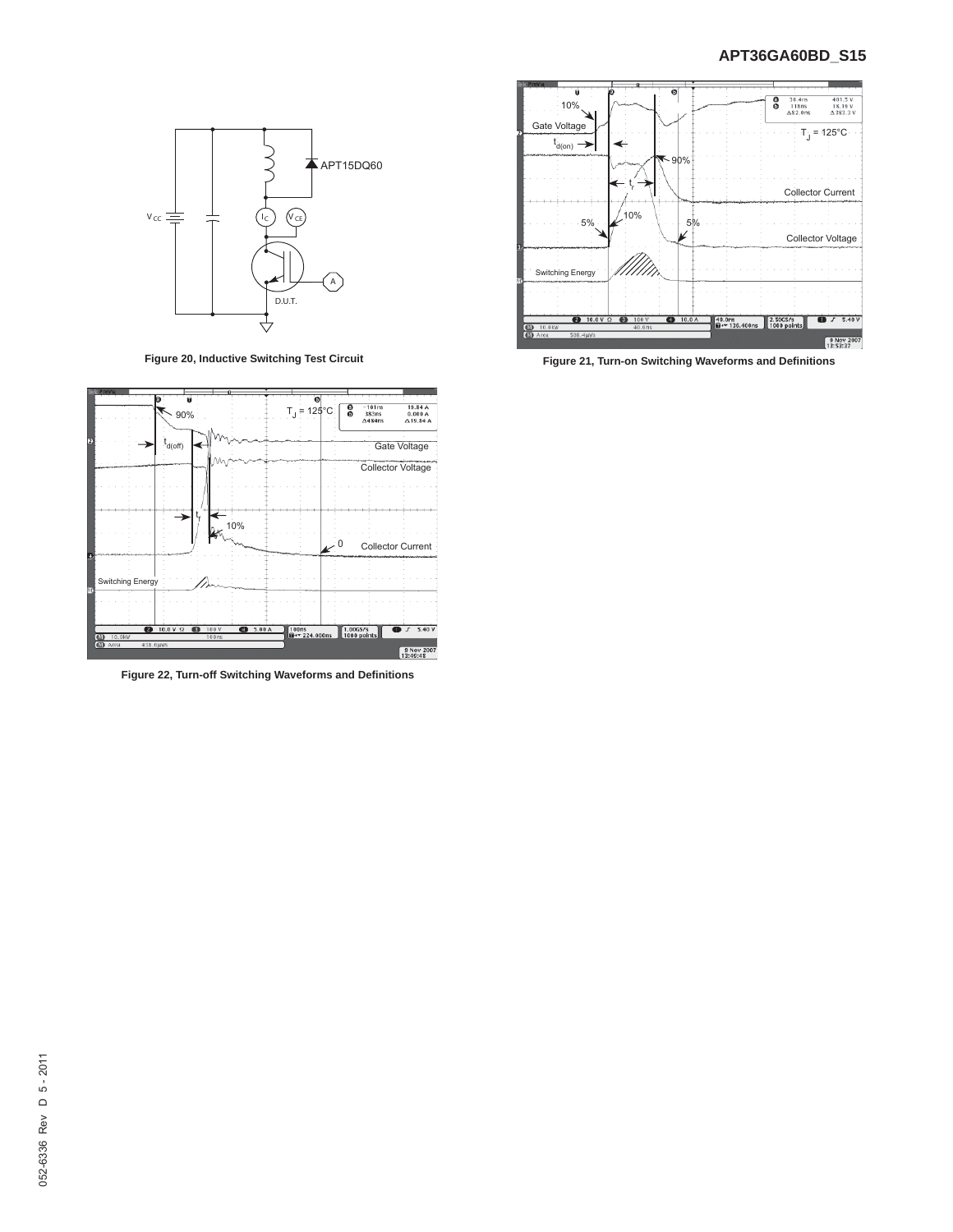

**Figure 20, Inductive Switching Test Circuit**



**Figure 22, Turn-off Switching Waveforms and Defi nitions**



**Figure 21, Turn-on Switching Waveforms and Defi nitions**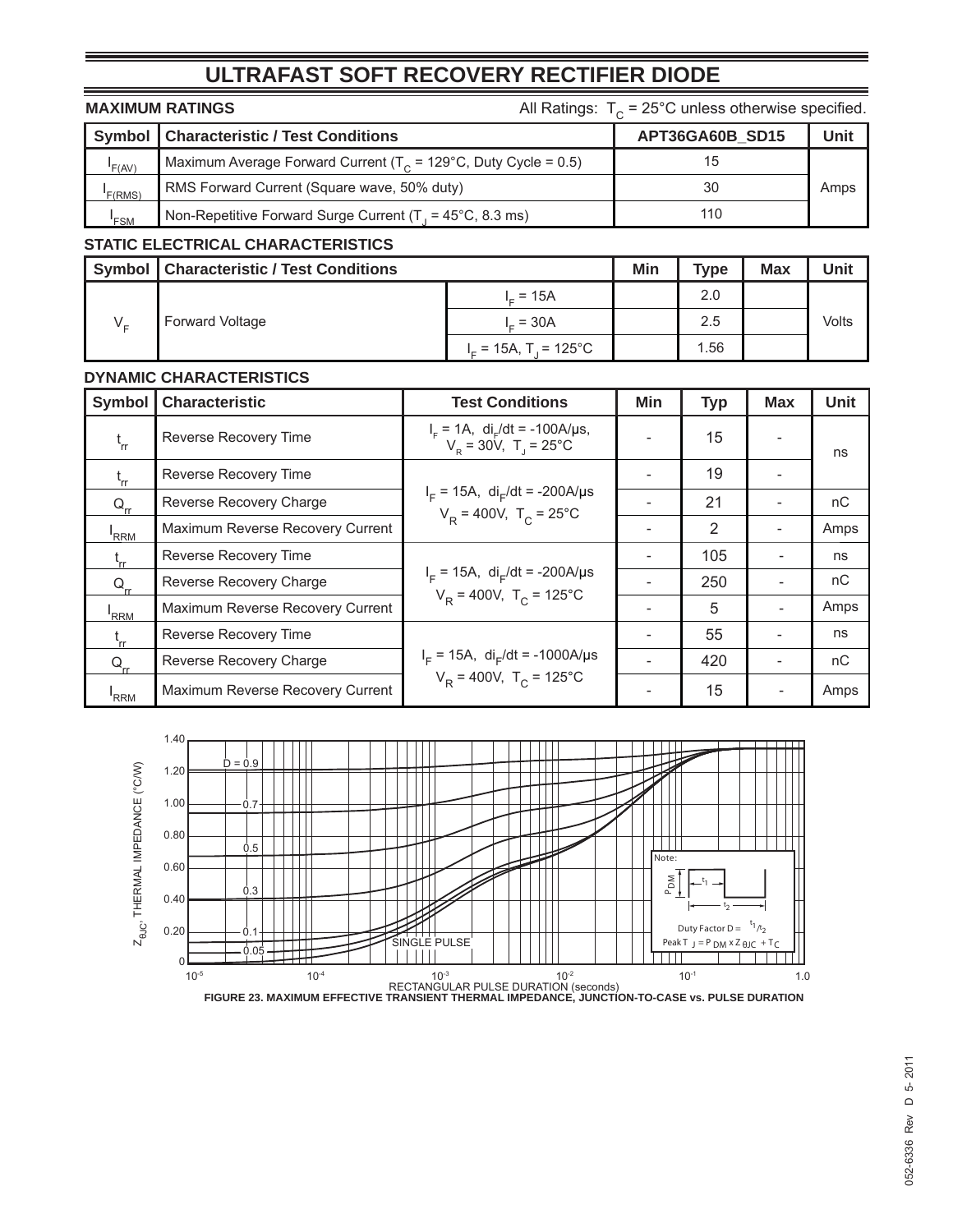## **ULTRAFAST SOFT RECOVERY RECTIFIER DIODE**

| All Ratings: $T_c = 25^{\circ}$ C unless otherwise specified.<br><b>MAXIMUM RATINGS</b> |                                                                            |                 |      |
|-----------------------------------------------------------------------------------------|----------------------------------------------------------------------------|-----------------|------|
|                                                                                         | <b>Symbol   Characteristic / Test Conditions</b>                           | APT36GA60B SD15 | Unit |
| F(AV)                                                                                   | Maximum Average Forward Current ( $T_c$ = 129°C, Duty Cycle = 0.5)         | 15              |      |
| F(RMS)                                                                                  | RMS Forward Current (Square wave, 50% duty)                                | 30              | Amps |
| $I_{FSM}$                                                                               | Non-Repetitive Forward Surge Current $(T_1 = 45^{\circ}C, 8.3 \text{ ms})$ | 110             |      |
|                                                                                         | ---------------------                                                      |                 |      |

### **STATIC ELECTRICAL CHARACTERISTICS**

|         | <b>Symbol   Characteristic / Test Conditions</b> |                         | Min | <b>Type</b> | <b>Max</b> | Unit  |
|---------|--------------------------------------------------|-------------------------|-----|-------------|------------|-------|
| $V_{-}$ | <b>Forward Voltage</b>                           | <sub>-</sub> = 15A      |     | 2.0         |            |       |
|         |                                                  | $= 30A$                 |     | 2.5         |            | Volts |
|         |                                                  | $I_r = 15A$ , T = 125°C |     | 1.56        |            |       |

#### **DYNAMIC CHARACTERISTICS**

| <b>Symbol</b>    | <b>Characteristic</b>            | <b>Test Conditions</b>                                                                     | Min | <b>Typ</b> | <b>Max</b>               | Unit |
|------------------|----------------------------------|--------------------------------------------------------------------------------------------|-----|------------|--------------------------|------|
| $t_{rr}$         | Reverse Recovery Time            | $I_{F} = 1A$ , di <sub>r</sub> /dt = -100A/us,<br>$V_p = 30V$ , T <sub>1</sub> = 25°C      |     | 15         |                          | ns   |
| $t_{rr}$         | Reverse Recovery Time            |                                                                                            |     | 19         |                          |      |
| $Q_{rr}$         | Reverse Recovery Charge          | $I_F = 15A$ , di <sub>F</sub> /dt = -200A/µs<br>$V_R = 400V$ , T <sub>c</sub> = 25°C       |     | 21         |                          | nC   |
| <sup>I</sup> RRM | Maximum Reverse Recovery Current |                                                                                            |     | 2          | $\overline{\phantom{a}}$ | Amps |
| $t_{rr}$         | Reverse Recovery Time            |                                                                                            |     | 105        |                          | ns   |
| $Q_{rr}$         | Reverse Recovery Charge          | $I_F = 15A$ , di <sub>F</sub> /dt = -200A/µs<br>$V_{\rm p}$ = 400V, T <sub>c</sub> = 125°C |     | 250        |                          | nC   |
| RRM <sup>'</sup> | Maximum Reverse Recovery Current |                                                                                            |     | 5          |                          | Amps |
| $t_{rr}$         | Reverse Recovery Time            | $I_F$ = 15A, di <sub>F</sub> /dt = -1000A/µs<br>$V_{\rm p}$ = 400V, T <sub>c</sub> = 125°C |     | 55         |                          | ns   |
| $Q_{rr}$         | Reverse Recovery Charge          |                                                                                            |     | 420        |                          | nC   |
| RRM <sup>'</sup> | Maximum Reverse Recovery Current |                                                                                            |     | 15         |                          | Amps |

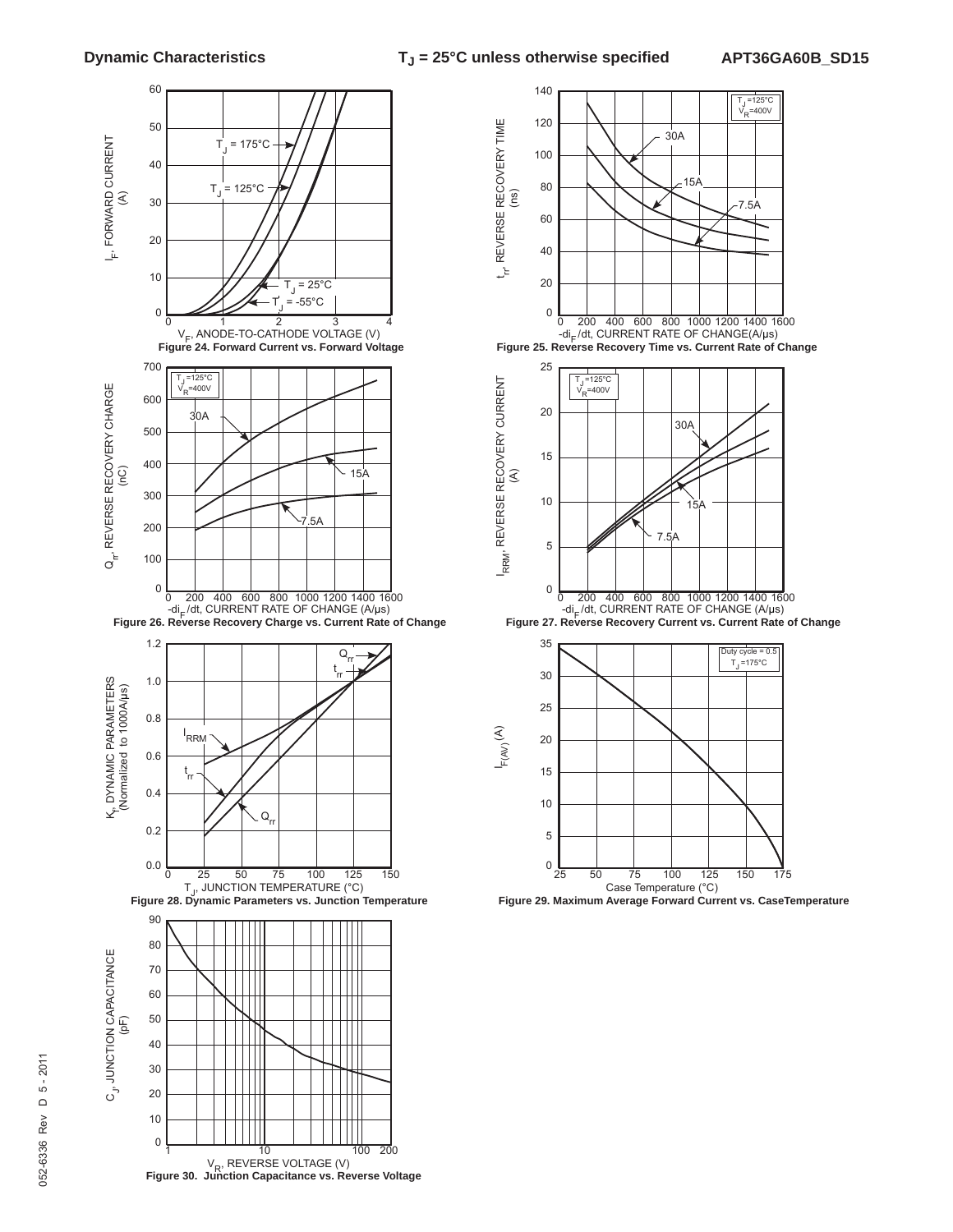





**Figure 29. Maximum Average Forward Current vs. CaseTemperature**